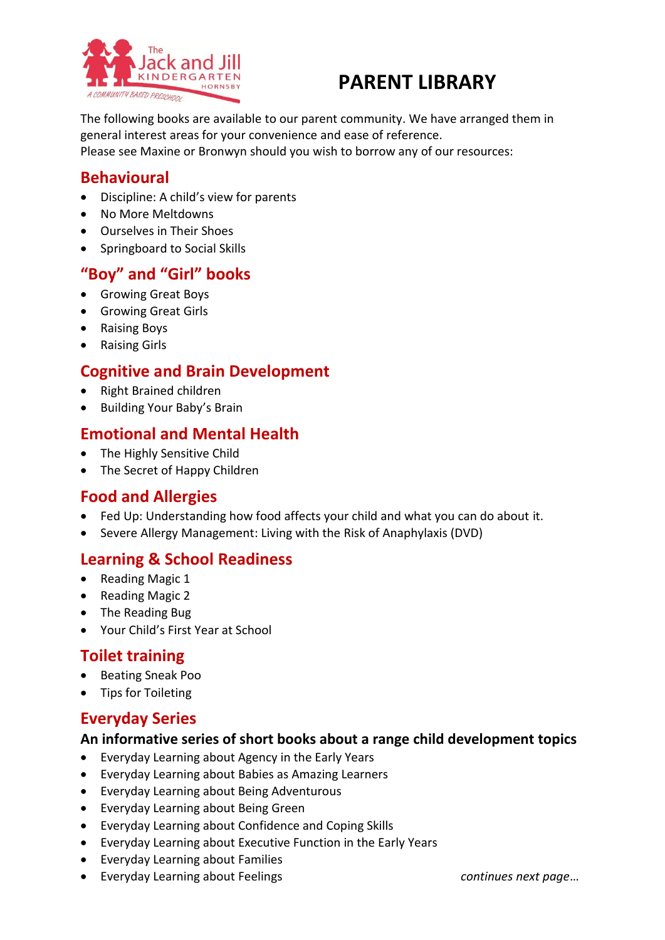

# **PARENT LIBRARY**

The following books are available to our parent community. We have arranged them in general interest areas for your convenience and ease of reference. Please see Maxine or Bronwyn should you wish to borrow any of our resources:

### **Behavioural**

- Discipline: A child's view for parents
- No More Meltdowns
- Ourselves in Their Shoes
- Springboard to Social Skills

## **"Boy" and "Girl" books**

- Growing Great Boys
- Growing Great Girls
- Raising Boys
- Raising Girls

### **Cognitive and Brain Development**

- Right Brained children
- Building Your Baby's Brain

#### **Emotional and Mental Health**

- The Highly Sensitive Child
- The Secret of Happy Children

### **Food and Allergies**

- Fed Up: Understanding how food affects your child and what you can do about it.
- Severe Allergy Management: Living with the Risk of Anaphylaxis (DVD)

### **Learning & School Readiness**

- Reading Magic 1
- Reading Magic 2
- The Reading Bug
- Your Child's First Year at School

### **Toilet training**

- **•** Beating Sneak Poo
- Tips for Toileting

### **Everyday Series**

#### **An informative series of short books about a range child development topics**

- Everyday Learning about Agency in the Early Years
- Everyday Learning about Babies as Amazing Learners
- Everyday Learning about Being Adventurous
- Everyday Learning about Being Green
- Everyday Learning about Confidence and Coping Skills
- Everyday Learning about Executive Function in the Early Years
- Everyday Learning about Families
- Everyday Learning about Feelings *continues next page*…